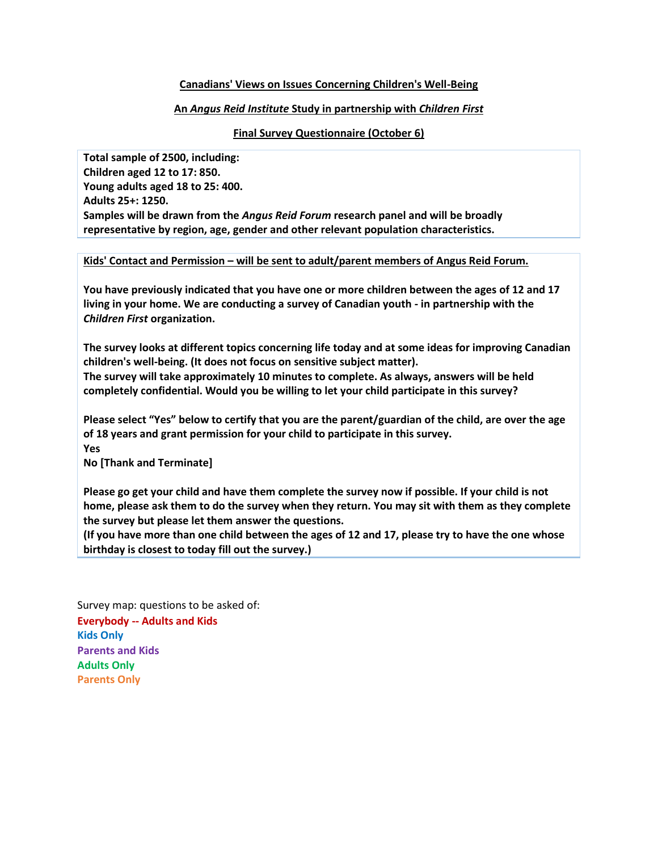## **Canadians' Views on Issues Concerning Children's Well-Being**

## **An** *Angus Reid Institute* **Study in partnership with** *Children First*

## **Final Survey Questionnaire (October 6)**

**Total sample of 2500, including: Children aged 12 to 17: 850. Young adults aged 18 to 25: 400. Adults 25+: 1250. Samples will be drawn from the** *Angus Reid Forum* **research panel and will be broadly representative by region, age, gender and other relevant population characteristics.** 

**Kids' Contact and Permission – will be sent to adult/parent members of Angus Reid Forum.**

**You have previously indicated that you have one or more children between the ages of 12 and 17 living in your home. We are conducting a survey of Canadian youth - in partnership with the**  *Children First* **organization.** 

**The survey looks at different topics concerning life today and at some ideas for improving Canadian children's well-being. (It does not focus on sensitive subject matter). The survey will take approximately 10 minutes to complete. As always, answers will be held completely confidential. Would you be willing to let your child participate in this survey?** 

**Please select "Yes" below to certify that you are the parent/guardian of the child, are over the age of 18 years and grant permission for your child to participate in this survey. Yes**

**No [Thank and Terminate]**

**Please go get your child and have them complete the survey now if possible. If your child is not home, please ask them to do the survey when they return. You may sit with them as they complete the survey but please let them answer the questions.**

**(If you have more than one child between the ages of 12 and 17, please try to have the one whose birthday is closest to today fill out the survey.)**

Survey map: questions to be asked of: **Everybody -- Adults and Kids Kids Only Parents and Kids Adults Only Parents Only**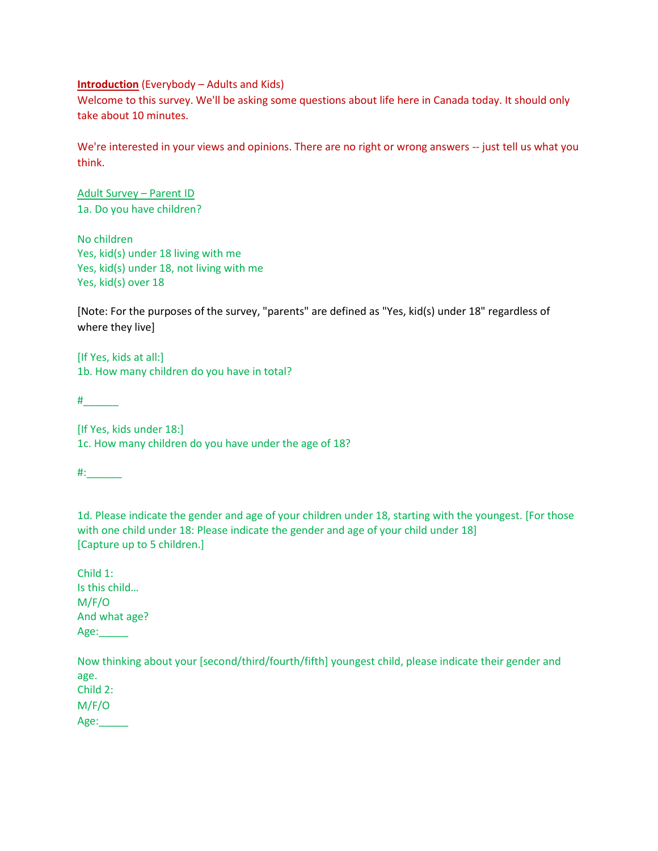## **Introduction** (Everybody – Adults and Kids)

Welcome to this survey. We'll be asking some questions about life here in Canada today. It should only take about 10 minutes.

We're interested in your views and opinions. There are no right or wrong answers -- just tell us what you think.

Adult Survey – Parent ID 1a. Do you have children?

No children Yes, kid(s) under 18 living with me Yes, kid(s) under 18, not living with me Yes, kid(s) over 18

[Note: For the purposes of the survey, "parents" are defined as "Yes, kid(s) under 18" regardless of where they live]

[If Yes, kids at all:] 1b. How many children do you have in total?

 $\#$ 

[If Yes, kids under 18:] 1c. How many children do you have under the age of 18?

#:\_\_\_\_\_\_

1d. Please indicate the gender and age of your children under 18, starting with the youngest. [For those with one child under 18: Please indicate the gender and age of your child under 18] [Capture up to 5 children.]

Child 1: Is this child… M/F/O And what age? Age:\_\_\_\_\_

Now thinking about your [second/third/fourth/fifth] youngest child, please indicate their gender and age. Child 2: M/F/O Age:\_\_\_\_\_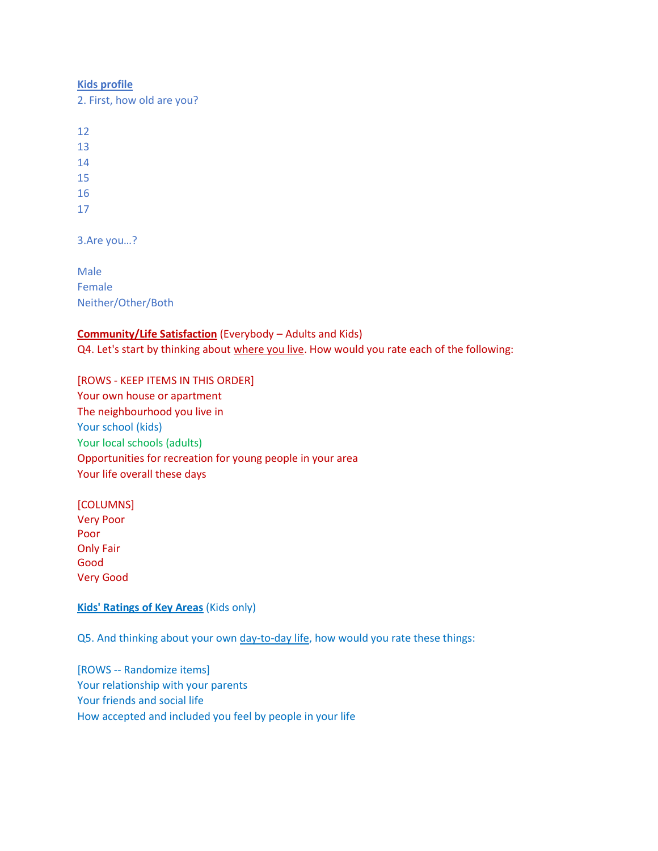#### **Kids profile**

2. First, how old are you?

12

13

14

15

- 16
- 17

3.Are you…?

Male Female Neither/Other/Both

# **Community/Life Satisfaction** (Everybody – Adults and Kids)

Q4. Let's start by thinking about where you live. How would you rate each of the following:

[ROWS - KEEP ITEMS IN THIS ORDER] Your own house or apartment The neighbourhood you live in Your school (kids) Your local schools (adults) Opportunities for recreation for young people in your area Your life overall these days

[COLUMNS] Very Poor Poor

Only Fair Good Very Good

## **Kids' Ratings of Key Areas** (Kids only)

Q5. And thinking about your own day-to-day life, how would you rate these things:

[ROWS -- Randomize items] Your relationship with your parents Your friends and social life How accepted and included you feel by people in your life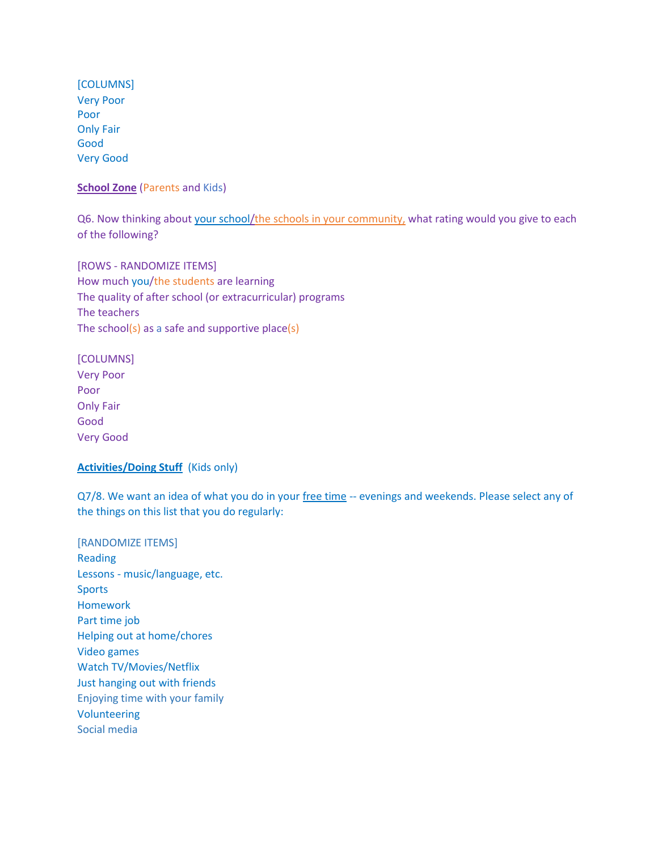[COLUMNS] Very Poor Poor Only Fair Good Very Good

**School Zone** (Parents and Kids)

Q6. Now thinking about your school/the schools in your community, what rating would you give to each of the following?

[ROWS - RANDOMIZE ITEMS] How much you/the students are learning The quality of after school (or extracurricular) programs The teachers The school(s) as a safe and supportive place(s)

[COLUMNS] Very Poor Poor Only Fair Good Very Good

## **Activities/Doing Stuff** (Kids only)

Q7/8. We want an idea of what you do in your free time -- evenings and weekends. Please select any of the things on this list that you do regularly:

[RANDOMIZE ITEMS] Reading Lessons - music/language, etc. **Sports** Homework Part time job Helping out at home/chores Video games Watch TV/Movies/Netflix Just hanging out with friends Enjoying time with your family Volunteering Social media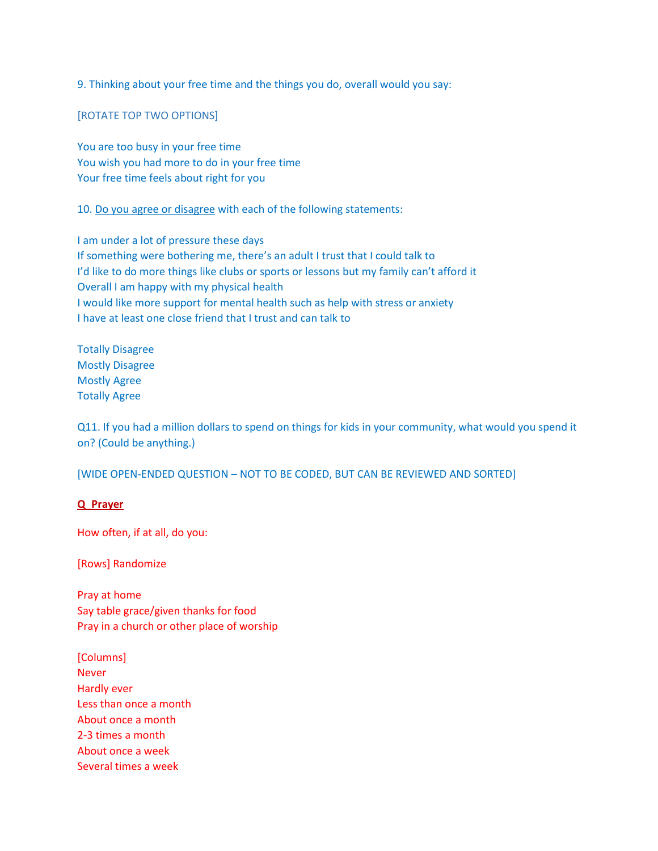9. Thinking about your free time and the things you do, overall would you say:

[ROTATE TOP TWO OPTIONS]

You are too busy in your free time You wish you had more to do in your free time Your free time feels about right for you

10. Do you agree or disagree with each of the following statements:

I am under a lot of pressure these days If something were bothering me, there's an adult I trust that I could talk to I'd like to do more things like clubs or sports or lessons but my family can't afford it Overall I am happy with my physical health I would like more support for mental health such as help with stress or anxiety I have at least one close friend that I trust and can talk to

Totally Disagree Mostly Disagree Mostly Agree Totally Agree

Q11. If you had a million dollars to spend on things for kids in your community, what would you spend it on? (Could be anything.)

[WIDE OPEN-ENDED QUESTION – NOT TO BE CODED, BUT CAN BE REVIEWED AND SORTED]

## **Q\_Prayer**

How often, if at all, do you:

[Rows] Randomize

Pray at home Say table grace/given thanks for food Pray in a church or other place of worship

[Columns] Never Hardly ever Less than once a month About once a month 2-3 times a month About once a week Several times a week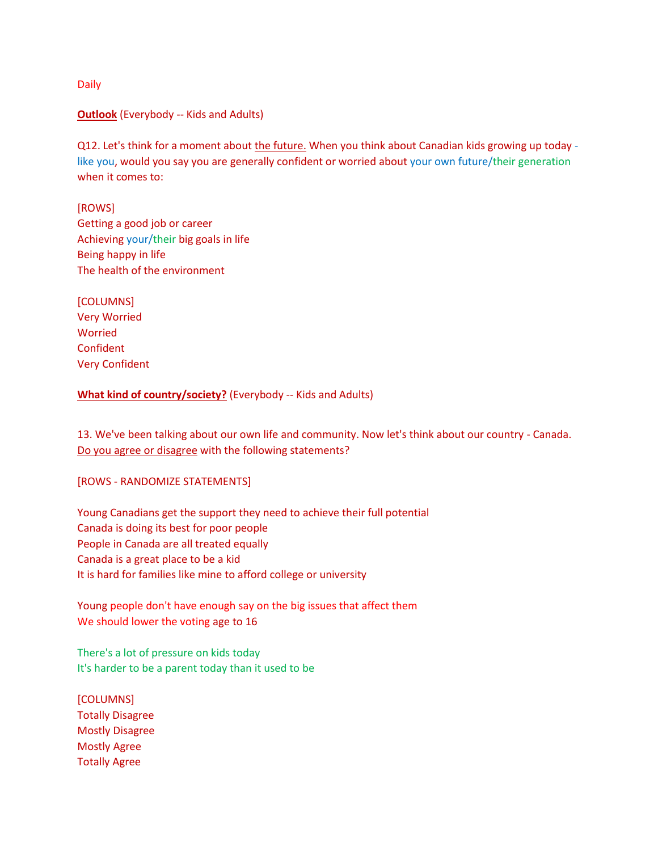Daily

## **Outlook** (Everybody -- Kids and Adults)

Q12. Let's think for a moment about the future. When you think about Canadian kids growing up today like you, would you say you are generally confident or worried about your own future/their generation when it comes to:

[ROWS] Getting a good job or career Achieving your/their big goals in life Being happy in life The health of the environment

[COLUMNS] Very Worried Worried Confident Very Confident

**What kind of country/society?** (Everybody -- Kids and Adults)

13. We've been talking about our own life and community. Now let's think about our country - Canada. Do you agree or disagree with the following statements?

[ROWS - RANDOMIZE STATEMENTS]

Young Canadians get the support they need to achieve their full potential Canada is doing its best for poor people People in Canada are all treated equally Canada is a great place to be a kid It is hard for families like mine to afford college or university

Young people don't have enough say on the big issues that affect them We should lower the voting age to 16

There's a lot of pressure on kids today It's harder to be a parent today than it used to be

[COLUMNS] Totally Disagree Mostly Disagree Mostly Agree Totally Agree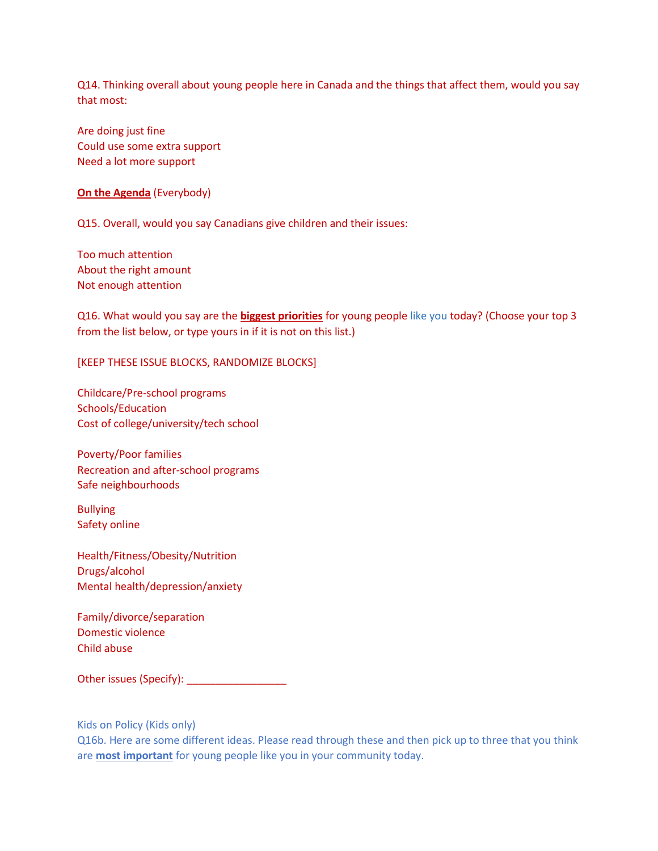Q14. Thinking overall about young people here in Canada and the things that affect them, would you say that most:

Are doing just fine Could use some extra support Need a lot more support

**On the Agenda** (Everybody)

Q15. Overall, would you say Canadians give children and their issues:

Too much attention About the right amount Not enough attention

Q16. What would you say are the **biggest priorities** for young people like you today? (Choose your top 3 from the list below, or type yours in if it is not on this list.)

[KEEP THESE ISSUE BLOCKS, RANDOMIZE BLOCKS]

Childcare/Pre-school programs Schools/Education Cost of college/university/tech school

Poverty/Poor families Recreation and after-school programs Safe neighbourhoods

Bullying Safety online

Health/Fitness/Obesity/Nutrition Drugs/alcohol Mental health/depression/anxiety

Family/divorce/separation Domestic violence Child abuse

Other issues (Specify): \_\_\_\_\_\_\_\_\_\_\_\_\_\_\_\_\_\_\_\_\_

Kids on Policy (Kids only)

Q16b. Here are some different ideas. Please read through these and then pick up to three that you think are **most important** for young people like you in your community today.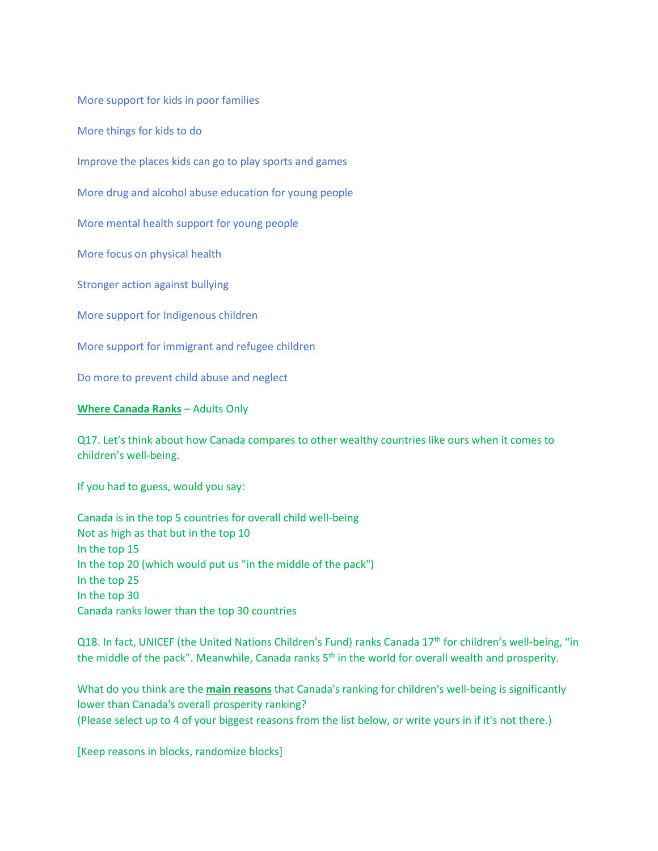More support for kids in poor families

More things for kids to do

Improve the places kids can go to play sports and games

More drug and alcohol abuse education for young people

More mental health support for young people

More focus on physical health

Stronger action against bullying

More support for Indigenous children

More support for immigrant and refugee children

Do more to prevent child abuse and neglect

## **Where Canada Ranks** – Adults Only

Q17. Let's think about how Canada compares to other wealthy countries like ours when it comes to children's well-being.

If you had to guess, would you say:

Canada is in the top 5 countries for overall child well-being Not as high as that but in the top 10 In the top 15 In the top 20 (which would put us "in the middle of the pack") In the top 25 In the top 30 Canada ranks lower than the top 30 countries

Q18. In fact, UNICEF (the United Nations Children's Fund) ranks Canada 17<sup>th</sup> for children's well-being, "in the middle of the pack". Meanwhile, Canada ranks 5<sup>th</sup> in the world for overall wealth and prosperity.

What do you think are the **main reasons** that Canada's ranking for children's well-being is significantly lower than Canada's overall prosperity ranking? (Please select up to 4 of your biggest reasons from the list below, or write yours in if it's not there.)

[Keep reasons in blocks, randomize blocks]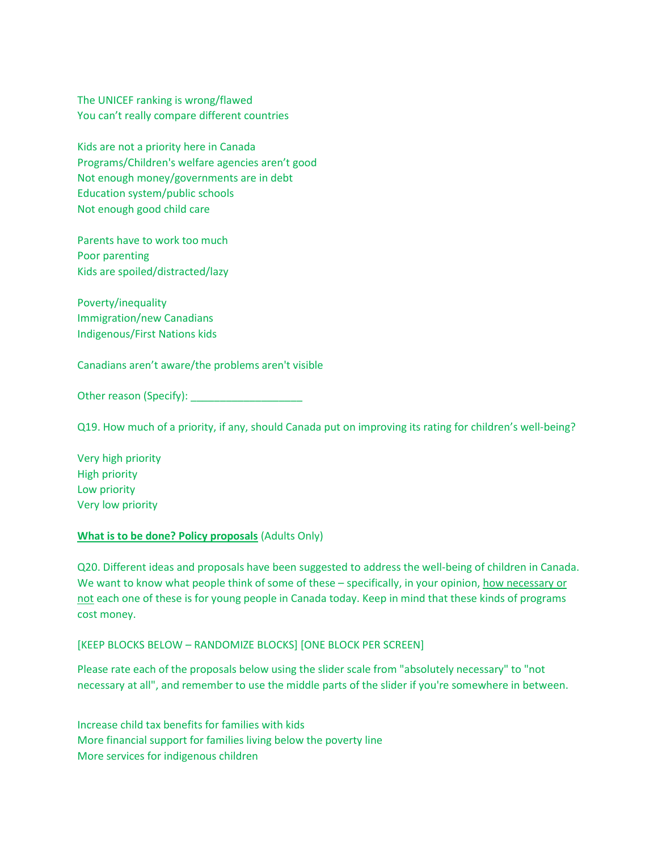The UNICEF ranking is wrong/flawed You can't really compare different countries

Kids are not a priority here in Canada Programs/Children's welfare agencies aren't good Not enough money/governments are in debt Education system/public schools Not enough good child care

Parents have to work too much Poor parenting Kids are spoiled/distracted/lazy

Poverty/inequality Immigration/new Canadians Indigenous/First Nations kids

Canadians aren't aware/the problems aren't visible

Other reason (Specify):

Q19. How much of a priority, if any, should Canada put on improving its rating for children's well-being?

Very high priority High priority Low priority Very low priority

#### **What is to be done? Policy proposals** (Adults Only)

Q20. Different ideas and proposals have been suggested to address the well-being of children in Canada. We want to know what people think of some of these – specifically, in your opinion, how necessary or not each one of these is for young people in Canada today. Keep in mind that these kinds of programs cost money.

## [KEEP BLOCKS BELOW – RANDOMIZE BLOCKS] [ONE BLOCK PER SCREEN]

Please rate each of the proposals below using the slider scale from "absolutely necessary" to "not necessary at all", and remember to use the middle parts of the slider if you're somewhere in between.

Increase child tax benefits for families with kids More financial support for families living below the poverty line More services for indigenous children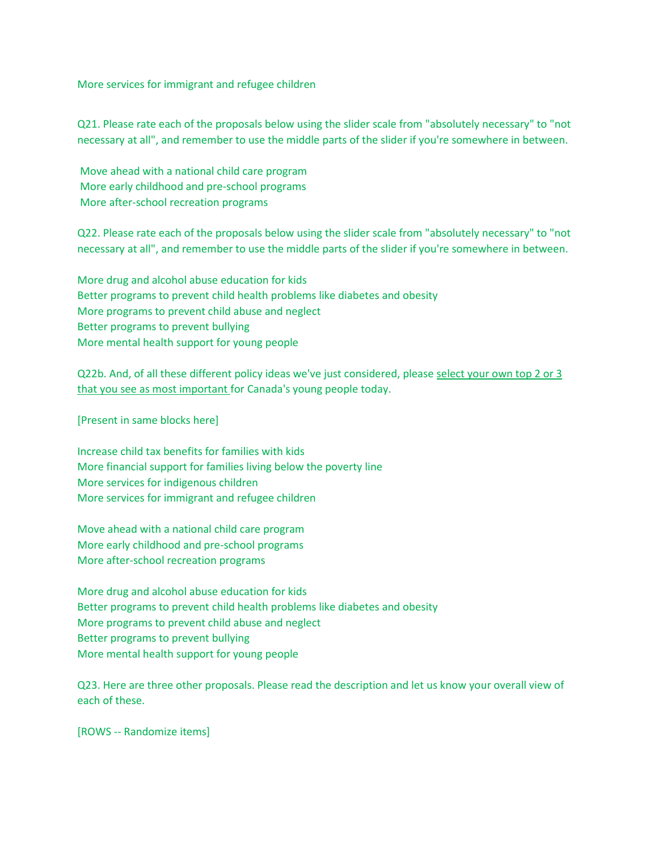More services for immigrant and refugee children

Q21. Please rate each of the proposals below using the slider scale from "absolutely necessary" to "not necessary at all", and remember to use the middle parts of the slider if you're somewhere in between.

Move ahead with a national child care program More early childhood and pre-school programs More after-school recreation programs

Q22. Please rate each of the proposals below using the slider scale from "absolutely necessary" to "not necessary at all", and remember to use the middle parts of the slider if you're somewhere in between.

More drug and alcohol abuse education for kids Better programs to prevent child health problems like diabetes and obesity More programs to prevent child abuse and neglect Better programs to prevent bullying More mental health support for young people

Q22b. And, of all these different policy ideas we've just considered, please select your own top 2 or 3 that you see as most important for Canada's young people today.

[Present in same blocks here]

Increase child tax benefits for families with kids More financial support for families living below the poverty line More services for indigenous children More services for immigrant and refugee children

Move ahead with a national child care program More early childhood and pre-school programs More after-school recreation programs

More drug and alcohol abuse education for kids Better programs to prevent child health problems like diabetes and obesity More programs to prevent child abuse and neglect Better programs to prevent bullying More mental health support for young people

Q23. Here are three other proposals. Please read the description and let us know your overall view of each of these.

[ROWS -- Randomize items]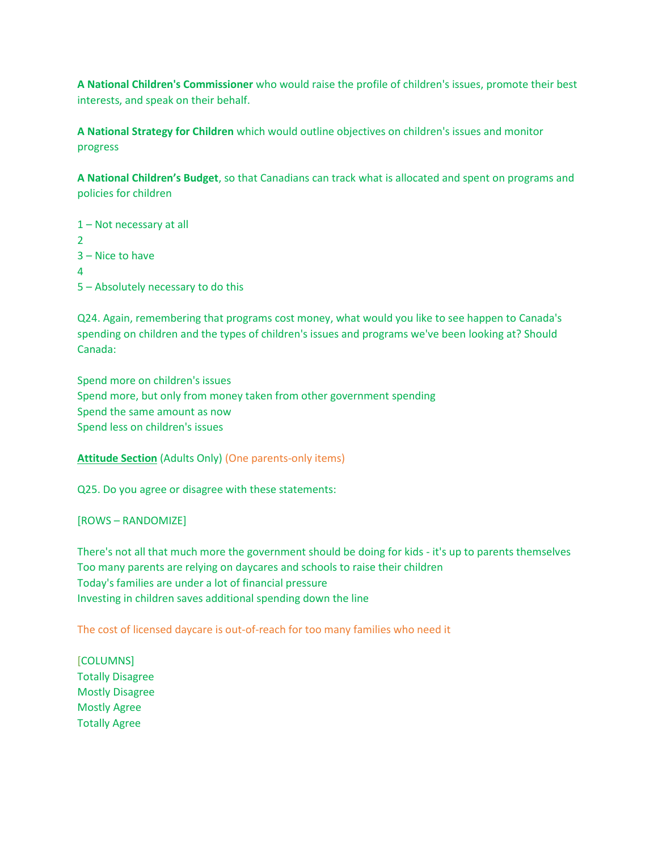**A National Children's Commissioner** who would raise the profile of children's issues, promote their best interests, and speak on their behalf.

**A National Strategy for Children** which would outline objectives on children's issues and monitor progress

**A National Children's Budget**, so that Canadians can track what is allocated and spent on programs and policies for children

1 – Not necessary at all 2 3 – Nice to have 4 5 – Absolutely necessary to do this

Q24. Again, remembering that programs cost money, what would you like to see happen to Canada's spending on children and the types of children's issues and programs we've been looking at? Should Canada:

Spend more on children's issues Spend more, but only from money taken from other government spending Spend the same amount as now Spend less on children's issues

**Attitude Section** (Adults Only) (One parents-only items)

Q25. Do you agree or disagree with these statements:

[ROWS – RANDOMIZE]

There's not all that much more the government should be doing for kids - it's up to parents themselves Too many parents are relying on daycares and schools to raise their children Today's families are under a lot of financial pressure Investing in children saves additional spending down the line

The cost of licensed daycare is out-of-reach for too many families who need it

[COLUMNS] Totally Disagree Mostly Disagree Mostly Agree Totally Agree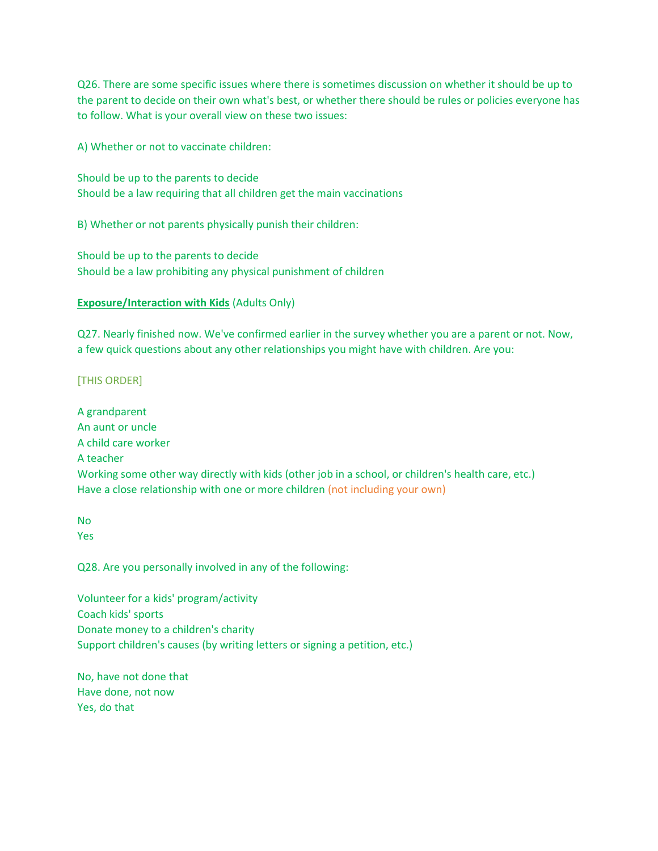Q26. There are some specific issues where there is sometimes discussion on whether it should be up to the parent to decide on their own what's best, or whether there should be rules or policies everyone has to follow. What is your overall view on these two issues:

A) Whether or not to vaccinate children:

Should be up to the parents to decide Should be a law requiring that all children get the main vaccinations

B) Whether or not parents physically punish their children:

Should be up to the parents to decide Should be a law prohibiting any physical punishment of children

## **Exposure/Interaction with Kids** (Adults Only)

Q27. Nearly finished now. We've confirmed earlier in the survey whether you are a parent or not. Now, a few quick questions about any other relationships you might have with children. Are you:

## [THIS ORDER]

A grandparent An aunt or uncle A child care worker A teacher Working some other way directly with kids (other job in a school, or children's health care, etc.) Have a close relationship with one or more children (not including your own)

No Yes

Q28. Are you personally involved in any of the following:

Volunteer for a kids' program/activity Coach kids' sports Donate money to a children's charity Support children's causes (by writing letters or signing a petition, etc.)

No, have not done that Have done, not now Yes, do that